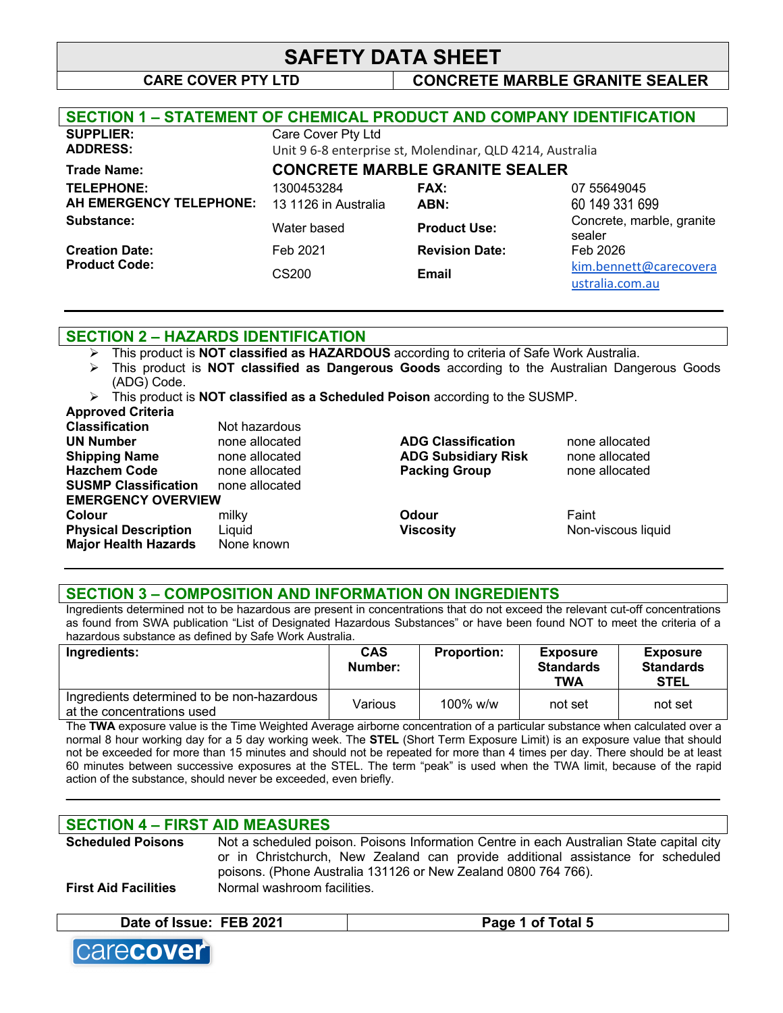# **CARE COVER PTY LTD CONCRETE MARBLE GRANITE SEALER**

ustralia.com.au

| <b>SECTION 1 - STATEMENT OF CHEMICAL PRODUCT AND COMPANY IDENTIFICATION</b> |                      |                                                           |                                                                                                                                           |
|-----------------------------------------------------------------------------|----------------------|-----------------------------------------------------------|-------------------------------------------------------------------------------------------------------------------------------------------|
| <b>SUPPLIER:</b>                                                            | Care Cover Pty Ltd   |                                                           |                                                                                                                                           |
| <b>ADDRESS:</b>                                                             |                      | Unit 9 6-8 enterprise st, Molendinar, QLD 4214, Australia |                                                                                                                                           |
| <b>Trade Name:</b>                                                          |                      | <b>CONCRETE MARBLE GRANITE SEALER</b>                     |                                                                                                                                           |
| <b>TELEPHONE:</b>                                                           | 1300453284           | <b>FAX:</b>                                               | 07 55649045                                                                                                                               |
| AH EMERGENCY TELEPHONE:                                                     | 13 1126 in Australia | ABN:                                                      | 60 149 331 699                                                                                                                            |
| Substance:                                                                  | Water based          | <b>Product Use:</b>                                       | Concrete, marble, granite<br>sealer                                                                                                       |
| <b>Creation Date:</b>                                                       | Feb 2021             | <b>Revision Date:</b>                                     | Feb 2026                                                                                                                                  |
| <b>Product Code:</b>                                                        | CS200                | <b>Email</b>                                              | kim.bennett@carecovera<br>the contract of the contract of the contract of the contract of the contract of the contract of the contract of |

#### **SECTION 2 – HAZARDS IDENTIFICATION**

- Ø This product is **NOT classified as HAZARDOUS** according to criteria of Safe Work Australia.
- Ø This product is **NOT classified as Dangerous Goods** according to the Australian Dangerous Goods (ADG) Code.
- Ø This product is **NOT classified as a Scheduled Poison** according to the SUSMP.

|  | Approved Criteria |  |
|--|-------------------|--|

| <b>APPIVYOU VIIIOIIU</b>    |                |                            |                    |
|-----------------------------|----------------|----------------------------|--------------------|
| <b>Classification</b>       | Not hazardous  |                            |                    |
| <b>UN Number</b>            | none allocated | <b>ADG Classification</b>  | none allocated     |
| <b>Shipping Name</b>        | none allocated | <b>ADG Subsidiary Risk</b> | none allocated     |
| <b>Hazchem Code</b>         | none allocated | <b>Packing Group</b>       | none allocated     |
| <b>SUSMP Classification</b> | none allocated |                            |                    |
| <b>EMERGENCY OVERVIEW</b>   |                |                            |                    |
| Colour                      | milky          | Odour                      | Faint              |
| <b>Physical Description</b> | Liquid         | <b>Viscosity</b>           | Non-viscous liquid |
| <b>Major Health Hazards</b> | None known     |                            |                    |
|                             |                |                            |                    |

#### **SECTION 3 – COMPOSITION AND INFORMATION ON INGREDIENTS**

Ingredients determined not to be hazardous are present in concentrations that do not exceed the relevant cut-off concentrations as found from SWA publication "List of Designated Hazardous Substances" or have been found NOT to meet the criteria of a hazardous substance as defined by Safe Work Australia.

| Ingredients:                                                             | <b>CAS</b><br>Number: | <b>Proportion:</b> | <b>Exposure</b><br><b>Standards</b><br>TWA | <b>Exposure</b><br><b>Standards</b><br><b>STEL</b> |
|--------------------------------------------------------------------------|-----------------------|--------------------|--------------------------------------------|----------------------------------------------------|
| Ingredients determined to be non-hazardous<br>at the concentrations used | Various               | $100\%$ w/w        | not set                                    | not set                                            |

The **TWA** exposure value is the Time Weighted Average airborne concentration of a particular substance when calculated over a normal 8 hour working day for a 5 day working week. The **STEL** (Short Term Exposure Limit) is an exposure value that should not be exceeded for more than 15 minutes and should not be repeated for more than 4 times per day. There should be at least 60 minutes between successive exposures at the STEL. The term "peak" is used when the TWA limit, because of the rapid action of the substance, should never be exceeded, even briefly.

**\_\_\_\_\_\_\_\_\_\_\_\_\_\_\_\_\_\_\_\_\_\_\_\_\_\_\_\_\_\_\_\_\_\_\_\_\_\_\_\_\_\_\_\_\_\_\_\_\_\_\_\_\_\_\_\_\_\_\_\_\_\_\_\_\_\_\_\_\_\_\_\_\_\_\_\_\_\_\_\_\_\_\_\_\_\_\_\_\_\_\_\_**

# **SECTION 4 – FIRST AID MEASURES**

| <b>Scheduled Poisons</b>    | Not a scheduled poison. Poisons Information Centre in each Australian State capital city |
|-----------------------------|------------------------------------------------------------------------------------------|
|                             | or in Christchurch, New Zealand can provide additional assistance for scheduled          |
|                             | poisons. (Phone Australia 131126 or New Zealand 0800 764 766).                           |
| <b>First Aid Facilities</b> | Normal washroom facilities.                                                              |

#### **Date of Issue: FEB 2021 Page 1 of Total 5**

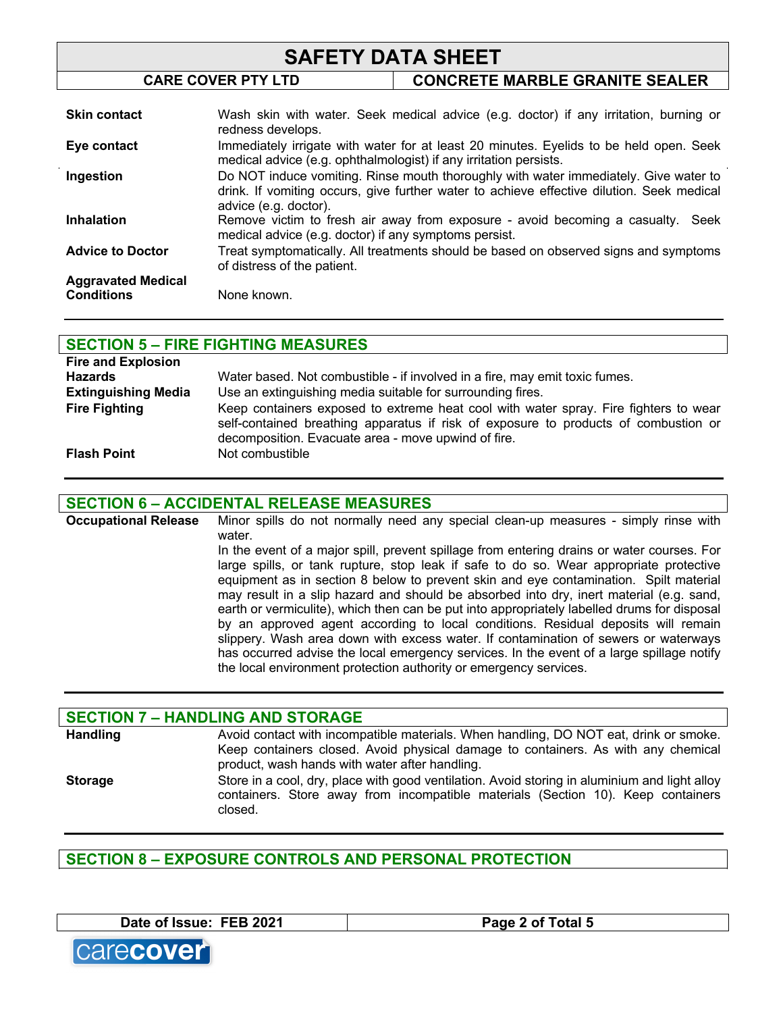# **SAFETY DATA SHEET CARE COVER PTY LTD CONCRETE MARBLE GRANITE SEALER**

| <b>Skin contact</b>       | Wash skin with water. Seek medical advice (e.g. doctor) if any irritation, burning or<br>redness develops.                                                                                                 |
|---------------------------|------------------------------------------------------------------------------------------------------------------------------------------------------------------------------------------------------------|
| Eye contact               | Immediately irrigate with water for at least 20 minutes. Eyelids to be held open. Seek<br>medical advice (e.g. ophthalmologist) if any irritation persists.                                                |
| Ingestion                 | Do NOT induce vomiting. Rinse mouth thoroughly with water immediately. Give water to<br>drink. If vomiting occurs, give further water to achieve effective dilution. Seek medical<br>advice (e.g. doctor). |
| <b>Inhalation</b>         | Remove victim to fresh air away from exposure - avoid becoming a casualty. Seek<br>medical advice (e.g. doctor) if any symptoms persist.                                                                   |
| <b>Advice to Doctor</b>   | Treat symptomatically. All treatments should be based on observed signs and symptoms<br>of distress of the patient.                                                                                        |
| <b>Aggravated Medical</b> |                                                                                                                                                                                                            |
| <b>Conditions</b>         | None known.                                                                                                                                                                                                |

| <b>SECTION 5 - FIRE FIGHTING MEASURES</b> |                                                                                                                                                                                                                                    |  |
|-------------------------------------------|------------------------------------------------------------------------------------------------------------------------------------------------------------------------------------------------------------------------------------|--|
| <b>Fire and Explosion</b>                 |                                                                                                                                                                                                                                    |  |
| <b>Hazards</b>                            | Water based. Not combustible - if involved in a fire, may emit toxic fumes.                                                                                                                                                        |  |
| <b>Extinguishing Media</b>                | Use an extinguishing media suitable for surrounding fires.                                                                                                                                                                         |  |
| <b>Fire Fighting</b>                      | Keep containers exposed to extreme heat cool with water spray. Fire fighters to wear<br>self-contained breathing apparatus if risk of exposure to products of combustion or<br>decomposition. Evacuate area - move upwind of fire. |  |
| <b>Flash Point</b>                        | Not combustible                                                                                                                                                                                                                    |  |

### **SECTION 6 – ACCIDENTAL RELEASE MEASURES**

**Occupational Release** Minor spills do not normally need any special clean-up measures - simply rinse with water. In the event of a major spill, prevent spillage from entering drains or water courses. For large spills, or tank rupture, stop leak if safe to do so. Wear appropriate protective equipment as in section 8 below to prevent skin and eye contamination. Spilt material may result in a slip hazard and should be absorbed into dry, inert material (e.g. sand, earth or vermiculite), which then can be put into appropriately labelled drums for disposal by an approved agent according to local conditions. Residual deposits will remain slippery. Wash area down with excess water. If contamination of sewers or waterways has occurred advise the local emergency services. In the event of a large spillage notify the local environment protection authority or emergency services.

|                 | <b>SECTION 7 - HANDLING AND STORAGE</b>                                                                                                                                                                                      |
|-----------------|------------------------------------------------------------------------------------------------------------------------------------------------------------------------------------------------------------------------------|
| <b>Handling</b> | Avoid contact with incompatible materials. When handling, DO NOT eat, drink or smoke.<br>Keep containers closed. Avoid physical damage to containers. As with any chemical<br>product, wash hands with water after handling. |
| <b>Storage</b>  | Store in a cool, dry, place with good ventilation. Avoid storing in aluminium and light alloy<br>containers. Store away from incompatible materials (Section 10). Keep containers<br>closed.                                 |

**SECTION 8 – EXPOSURE CONTROLS AND PERSONAL PROTECTION**

**Date of Issue: FEB 2021 Page 2 of Total 5**



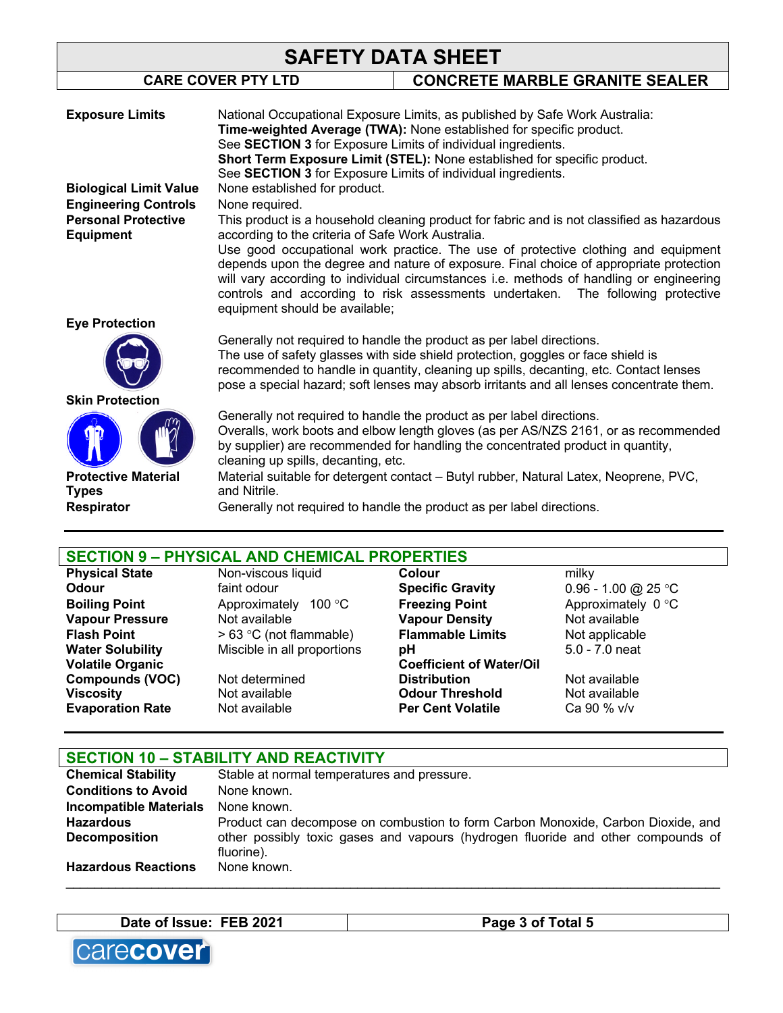|                                                | YALLI DATA VIILLI                                                                                                                        |                                                                                                                                                                        |  |
|------------------------------------------------|------------------------------------------------------------------------------------------------------------------------------------------|------------------------------------------------------------------------------------------------------------------------------------------------------------------------|--|
|                                                | <b>CARE COVER PTY LTD</b>                                                                                                                | <b>CONCRETE MARBLE GRANITE SEALER</b>                                                                                                                                  |  |
|                                                |                                                                                                                                          |                                                                                                                                                                        |  |
| <b>Exposure Limits</b>                         |                                                                                                                                          | National Occupational Exposure Limits, as published by Safe Work Australia:                                                                                            |  |
|                                                |                                                                                                                                          | Time-weighted Average (TWA): None established for specific product.                                                                                                    |  |
|                                                | See SECTION 3 for Exposure Limits of individual ingredients.                                                                             |                                                                                                                                                                        |  |
|                                                | Short Term Exposure Limit (STEL): None established for specific product.<br>See SECTION 3 for Exposure Limits of individual ingredients. |                                                                                                                                                                        |  |
|                                                |                                                                                                                                          |                                                                                                                                                                        |  |
| <b>Biological Limit Value</b>                  | None established for product.                                                                                                            |                                                                                                                                                                        |  |
| <b>Engineering Controls</b>                    | None required.                                                                                                                           |                                                                                                                                                                        |  |
| <b>Personal Protective</b><br><b>Equipment</b> | according to the criteria of Safe Work Australia.                                                                                        | This product is a household cleaning product for fabric and is not classified as hazardous                                                                             |  |
|                                                |                                                                                                                                          | Use good occupational work practice. The use of protective clothing and equipment                                                                                      |  |
|                                                |                                                                                                                                          | depends upon the degree and nature of exposure. Final choice of appropriate protection                                                                                 |  |
|                                                |                                                                                                                                          | will vary according to individual circumstances i.e. methods of handling or engineering                                                                                |  |
|                                                |                                                                                                                                          | controls and according to risk assessments undertaken. The following protective                                                                                        |  |
|                                                | equipment should be available;                                                                                                           |                                                                                                                                                                        |  |
| <b>Eye Protection</b>                          |                                                                                                                                          |                                                                                                                                                                        |  |
|                                                |                                                                                                                                          | Generally not required to handle the product as per label directions.                                                                                                  |  |
|                                                |                                                                                                                                          | The use of safety glasses with side shield protection, goggles or face shield is                                                                                       |  |
|                                                |                                                                                                                                          | recommended to handle in quantity, cleaning up spills, decanting, etc. Contact lenses                                                                                  |  |
|                                                |                                                                                                                                          | pose a special hazard; soft lenses may absorb irritants and all lenses concentrate them.                                                                               |  |
| <b>Skin Protection</b>                         |                                                                                                                                          |                                                                                                                                                                        |  |
|                                                |                                                                                                                                          | Generally not required to handle the product as per label directions.                                                                                                  |  |
|                                                |                                                                                                                                          | Overalls, work boots and elbow length gloves (as per AS/NZS 2161, or as recommended<br>by supplier) are recommended for handling the concentrated product in quantity, |  |
|                                                | cleaning up spills, decanting, etc.                                                                                                      |                                                                                                                                                                        |  |
| <b>Protective Material</b>                     |                                                                                                                                          | Material suitable for detergent contact - Butyl rubber, Natural Latex, Neoprene, PVC,                                                                                  |  |
| <b>Types</b>                                   | and Nitrile.                                                                                                                             |                                                                                                                                                                        |  |
| <b>Respirator</b>                              |                                                                                                                                          | Generally not required to handle the product as per label directions.                                                                                                  |  |
|                                                |                                                                                                                                          |                                                                                                                                                                        |  |

# **SECTION 9 – PHYSICAL AND CHEMICAL PROPERTIES**

| <b>Physical State</b>   | Non-viscous liquid          | Colour                          | milky               |
|-------------------------|-----------------------------|---------------------------------|---------------------|
| <b>Odour</b>            | faint odour                 | <b>Specific Gravity</b>         | 0.96 - 1.00 @ 25 °C |
| <b>Boiling Point</b>    | Approximately 100 °C        | <b>Freezing Point</b>           | Approximately 0 °C  |
| <b>Vapour Pressure</b>  | Not available               | <b>Vapour Density</b>           | Not available       |
| <b>Flash Point</b>      | $> 63$ °C (not flammable)   | <b>Flammable Limits</b>         | Not applicable      |
| <b>Water Solubility</b> | Miscible in all proportions | рH                              | $5.0 - 7.0$ neat    |
| <b>Volatile Organic</b> |                             | <b>Coefficient of Water/Oil</b> |                     |
| <b>Compounds (VOC)</b>  | Not determined              | <b>Distribution</b>             | Not available       |
| <b>Viscosity</b>        | Not available               | <b>Odour Threshold</b>          | Not available       |
| <b>Evaporation Rate</b> | Not available               | <b>Per Cent Volatile</b>        | Ca 90 % v/v         |
|                         |                             |                                 |                     |

# **SECTION 10 – STABILITY AND REACTIVITY**

| <b>Chemical Stability</b>     | Stable at normal temperatures and pressure.                                                    |
|-------------------------------|------------------------------------------------------------------------------------------------|
| <b>Conditions to Avoid</b>    | None known.                                                                                    |
| <b>Incompatible Materials</b> | None known.                                                                                    |
| <b>Hazardous</b>              | Product can decompose on combustion to form Carbon Monoxide, Carbon Dioxide, and               |
| <b>Decomposition</b>          | other possibly toxic gases and vapours (hydrogen fluoride and other compounds of<br>fluorine). |
| <b>Hazardous Reactions</b>    | None known.                                                                                    |
|                               |                                                                                                |

**Date of Issue: FEB 2021 Page 3 of Total 5** 

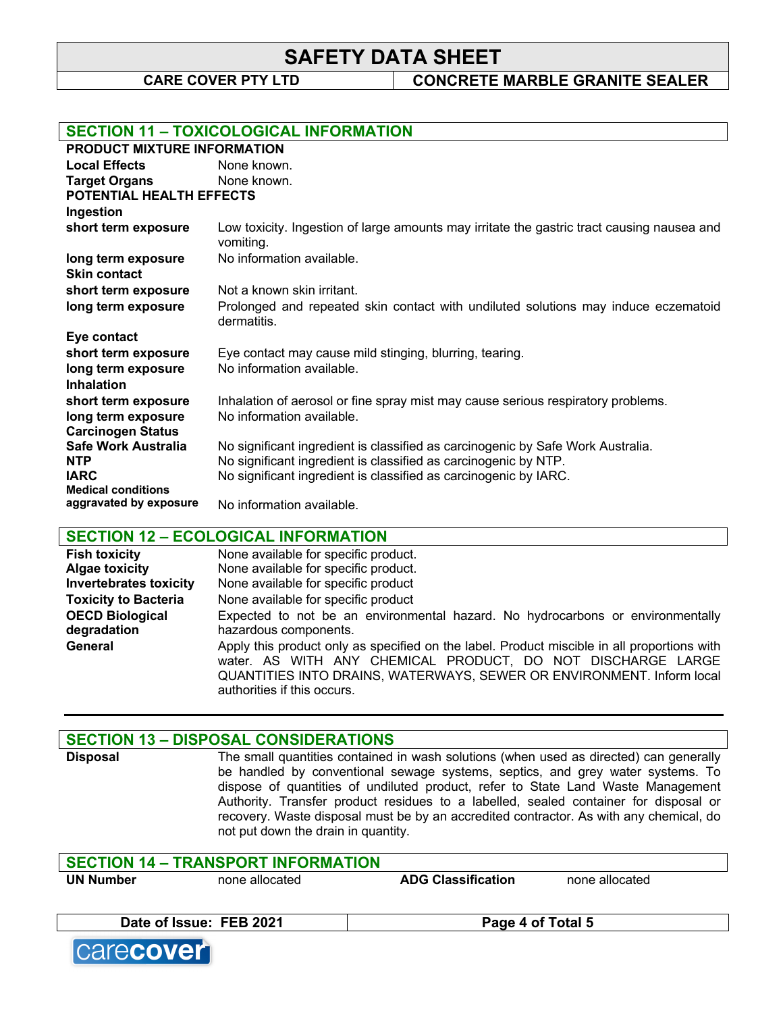**CARE COVER PTY LTD CONCRETE MARBLE GRANITE SEALER**

|                                          | <b>SECTION 11 - TOXICOLOGICAL INFORMATION</b>                                                           |
|------------------------------------------|---------------------------------------------------------------------------------------------------------|
| <b>PRODUCT MIXTURE INFORMATION</b>       |                                                                                                         |
| <b>Local Effects</b>                     | None known.                                                                                             |
| <b>Target Organs</b>                     | None known.                                                                                             |
| <b>POTENTIAL HEALTH EFFECTS</b>          |                                                                                                         |
| Ingestion                                |                                                                                                         |
| short term exposure                      | Low toxicity. Ingestion of large amounts may irritate the gastric tract causing nausea and<br>vomiting. |
| long term exposure                       | No information available.                                                                               |
| <b>Skin contact</b>                      |                                                                                                         |
| short term exposure                      | Not a known skin irritant.                                                                              |
| long term exposure                       | Prolonged and repeated skin contact with undiluted solutions may induce eczematoid<br>dermatitis.       |
| Eye contact                              |                                                                                                         |
| short term exposure                      | Eye contact may cause mild stinging, blurring, tearing.                                                 |
| long term exposure                       | No information available.                                                                               |
| <b>Inhalation</b>                        |                                                                                                         |
| short term exposure                      | Inhalation of aerosol or fine spray mist may cause serious respiratory problems.                        |
| long term exposure                       | No information available.                                                                               |
| <b>Carcinogen Status</b>                 |                                                                                                         |
| <b>Safe Work Australia</b>               | No significant ingredient is classified as carcinogenic by Safe Work Australia.                         |
| <b>NTP</b>                               | No significant ingredient is classified as carcinogenic by NTP.                                         |
| <b>IARC</b><br><b>Medical conditions</b> | No significant ingredient is classified as carcinogenic by IARC.                                        |
| aggravated by exposure                   | No information available.                                                                               |
|                                          |                                                                                                         |

### **SECTION 12 – ECOLOGICAL INFORMATION**

| <b>Fish toxicity</b>          | None available for specific product.                                                                                                                                                                                                                               |
|-------------------------------|--------------------------------------------------------------------------------------------------------------------------------------------------------------------------------------------------------------------------------------------------------------------|
| <b>Algae toxicity</b>         | None available for specific product.                                                                                                                                                                                                                               |
| <b>Invertebrates toxicity</b> | None available for specific product                                                                                                                                                                                                                                |
| <b>Toxicity to Bacteria</b>   | None available for specific product                                                                                                                                                                                                                                |
| <b>OECD Biological</b>        | Expected to not be an environmental hazard. No hydrocarbons or environmentally                                                                                                                                                                                     |
| degradation                   | hazardous components.                                                                                                                                                                                                                                              |
| General                       | Apply this product only as specified on the label. Product miscible in all proportions with<br>water. AS WITH ANY CHEMICAL PRODUCT, DO NOT DISCHARGE LARGE<br>QUANTITIES INTO DRAINS, WATERWAYS, SEWER OR ENVIRONMENT. Inform local<br>authorities if this occurs. |

### **SECTION 13 – DISPOSAL CONSIDERATIONS**

**Disposal** The small quantities contained in wash solutions (when used as directed) can generally be handled by conventional sewage systems, septics, and grey water systems. To dispose of quantities of undiluted product, refer to State Land Waste Management Authority. Transfer product residues to a labelled, sealed container for disposal or recovery. Waste disposal must be by an accredited contractor. As with any chemical, do not put down the drain in quantity.

#### **SECTION 14 – TRANSPORT INFORMATION**

**Date of Issue: FEB 2021 Page 4 of Total 5**